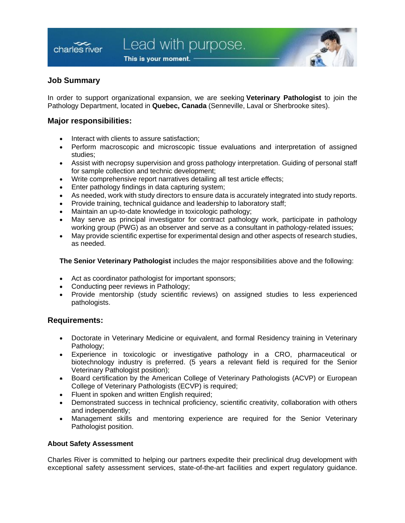This is your moment.



# **Job Summary**

charles river

In order to support organizational expansion, we are seeking **Veterinary Pathologist** to join the Pathology Department, located in **Quebec, Canada** (Senneville, Laval or Sherbrooke sites).

### **Major responsibilities:**

- Interact with clients to assure satisfaction;
- Perform macroscopic and microscopic tissue evaluations and interpretation of assigned studies;
- Assist with necropsy supervision and gross pathology interpretation. Guiding of personal staff for sample collection and technic development;
- Write comprehensive report narratives detailing all test article effects;
- Enter pathology findings in data capturing system;
- As needed, work with study directors to ensure data is accurately integrated into study reports.
- Provide training, technical guidance and leadership to laboratory staff;
- Maintain an up-to-date knowledge in toxicologic pathology;
- May serve as principal investigator for contract pathology work, participate in pathology working group (PWG) as an observer and serve as a consultant in pathology-related issues;
- May provide scientific expertise for experimental design and other aspects of research studies, as needed.

**The Senior Veterinary Pathologist** includes the major responsibilities above and the following:

- Act as coordinator pathologist for important sponsors;
- Conducting peer reviews in Pathology;
- Provide mentorship (study scientific reviews) on assigned studies to less experienced pathologists.

## **Requirements:**

- Doctorate in Veterinary Medicine or equivalent, and formal Residency training in Veterinary Pathology:
- Experience in toxicologic or investigative pathology in a CRO, pharmaceutical or biotechnology industry is preferred. (5 years a relevant field is required for the Senior Veterinary Pathologist position);
- Board certification by the American College of Veterinary Pathologists (ACVP) or European College of Veterinary Pathologists (ECVP) is required;
- Fluent in spoken and written English required;
- Demonstrated success in technical proficiency, scientific creativity, collaboration with others and independently;
- Management skills and mentoring experience are required for the Senior Veterinary Pathologist position.

#### **About Safety Assessment**

Charles River is committed to helping our partners expedite their preclinical drug development with exceptional safety assessment services, state-of-the-art facilities and expert regulatory guidance.